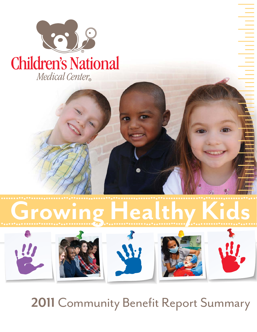

#### **Children's National** Medical Center®



The model of the control of the control of the control of the control of the control of the control of the control of the control of the control of the control of the control of the control of the control of the control of

# Growing Healthy Kids



### 2011 Community Benefit Report Summary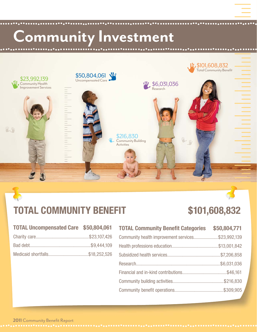## Community Investment



#### **TOTAL COMMUNITY BENEFIT \$101,608,832**

| <b>TOTAL Uncompensated Care</b> | \$50,804,061 |
|---------------------------------|--------------|
|---------------------------------|--------------|

| <b>TOTAL Community Benefit Categories</b>         | \$50,804,771 |
|---------------------------------------------------|--------------|
| Community health improvement services\$23,992,139 |              |
|                                                   |              |
|                                                   |              |
|                                                   |              |
|                                                   |              |
|                                                   |              |
|                                                   |              |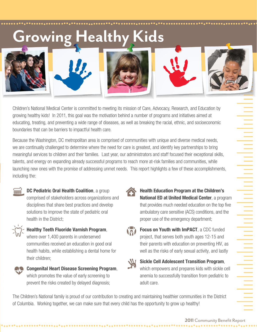### Growing Healthy Kids



Children's National Medical Center is committed to meeting its mission of Care, Advocacy, Research, and Education by growing healthy kids! In 2011, this goal was the motivation behind a number of programs and initiatives aimed at educating, treating, and preventing a wide range of diseases, as well as breaking the racial, ethnic, and socioeconomic boundaries that can be barriers to impactful health care.

Because the Washington, DC metropolitan area is comprised of communities with unique and diverse medical needs, we are continually challenged to determine where the need for care is greatest, and identify key partnerships to bring meaningful services to children and their families. Last year, our administrators and staff focused their exceptional skills, talents, and energy on expanding already successful programs to reach more at-risk families and communities, while launching new ones with the promise of addressing unmet needs. This report highlights a few of these accomplishments, including the:



**DC Pediatric Oral Health Coalition, a group** comprised of stakeholders across organizations and disciplines that share best practices and develop solutions to improve the state of pediatric oral health in the District;



**Healthy Teeth Fluoride Varnish Program**, where over 1,400 parents in underserved

communities received an education in good oral health habits, while establishing a dental home for their children;



**Health Education Program at the Children's National ED at United Medical Center**, a program that provides much needed education on the top five ambulatory care sensitive (ACS) conditions, and the proper use of the emergency department;



**Focus on Youth with ImPACT**, a CDC funded project, that serves both youth ages 12-15 and their parents with education on preventing HIV, as well as the risks of early sexual activity, and lastly



**Sickle Cell Adolescent Transition Program**, which empowers and prepares kids with sickle cell anemia to successfully transition from pediatric to adult care.

The Children's National family is proud of our contribution to creating and maintaining healthier communities in the District of Columbia. Working together, we can make sure that every child has the opportunity to grow up healthy!